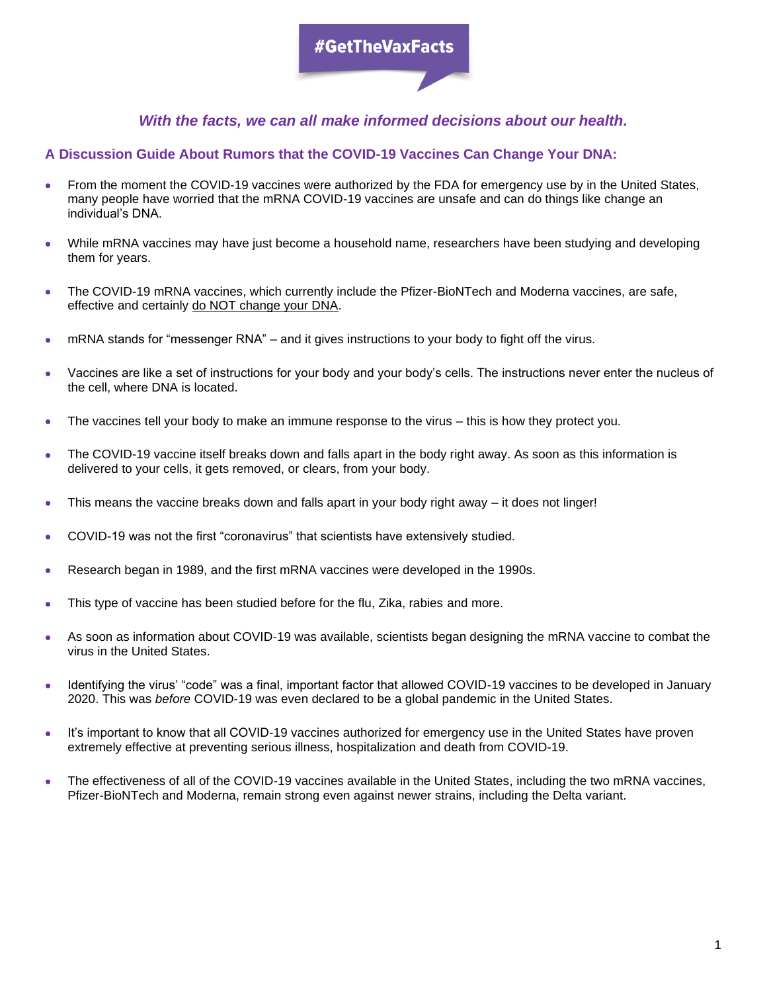# #GetTheVaxFacts

## *With the facts, we can all make informed decisions about our health.*

### **A Discussion Guide About Rumors that the COVID-19 Vaccines Can Change Your DNA:**

- From the moment the COVID-19 vaccines were authorized by the FDA for emergency use by in the United States, many people have worried that the mRNA COVID-19 vaccines are unsafe and can do things like change an individual's DNA.
- While mRNA vaccines may have just become a household name, researchers have been studying and developing them for years.
- The COVID-19 mRNA vaccines, which currently include the Pfizer-BioNTech and Moderna vaccines, are safe, effective and certainly do NOT change your DNA.
- mRNA stands for "messenger RNA" and it gives instructions to your body to fight off the virus.
- Vaccines are like a set of instructions for your body and your body's cells. The instructions never enter the nucleus of the cell, where DNA is located.
- The vaccines tell your body to make an immune response to the virus this is how they protect you.
- The COVID-19 vaccine itself breaks down and falls apart in the body right away. As soon as this information is delivered to your cells, it gets removed, or clears, from your body.
- This means the vaccine breaks down and falls apart in your body right away it does not linger!
- COVID-19 was not the first "coronavirus" that scientists have extensively studied.
- Research began in 1989, and the first mRNA vaccines were developed in the 1990s.
- This type of vaccine has been studied before for the flu, Zika, rabies and more.
- As soon as information about COVID-19 was available, scientists began designing the mRNA vaccine to combat the virus in the United States.
- Identifying the virus' "code" was a final, important factor that allowed COVID-19 vaccines to be developed in January 2020. This was *before* COVID-19 was even declared to be a global pandemic in the United States.
- It's important to know that all COVID-19 vaccines authorized for emergency use in the United States have proven extremely effective at preventing serious illness, hospitalization and death from COVID-19.
- The effectiveness of all of the COVID-19 vaccines available in the United States, including the two mRNA vaccines, Pfizer-BioNTech and Moderna, remain strong even against newer strains, including the Delta variant.